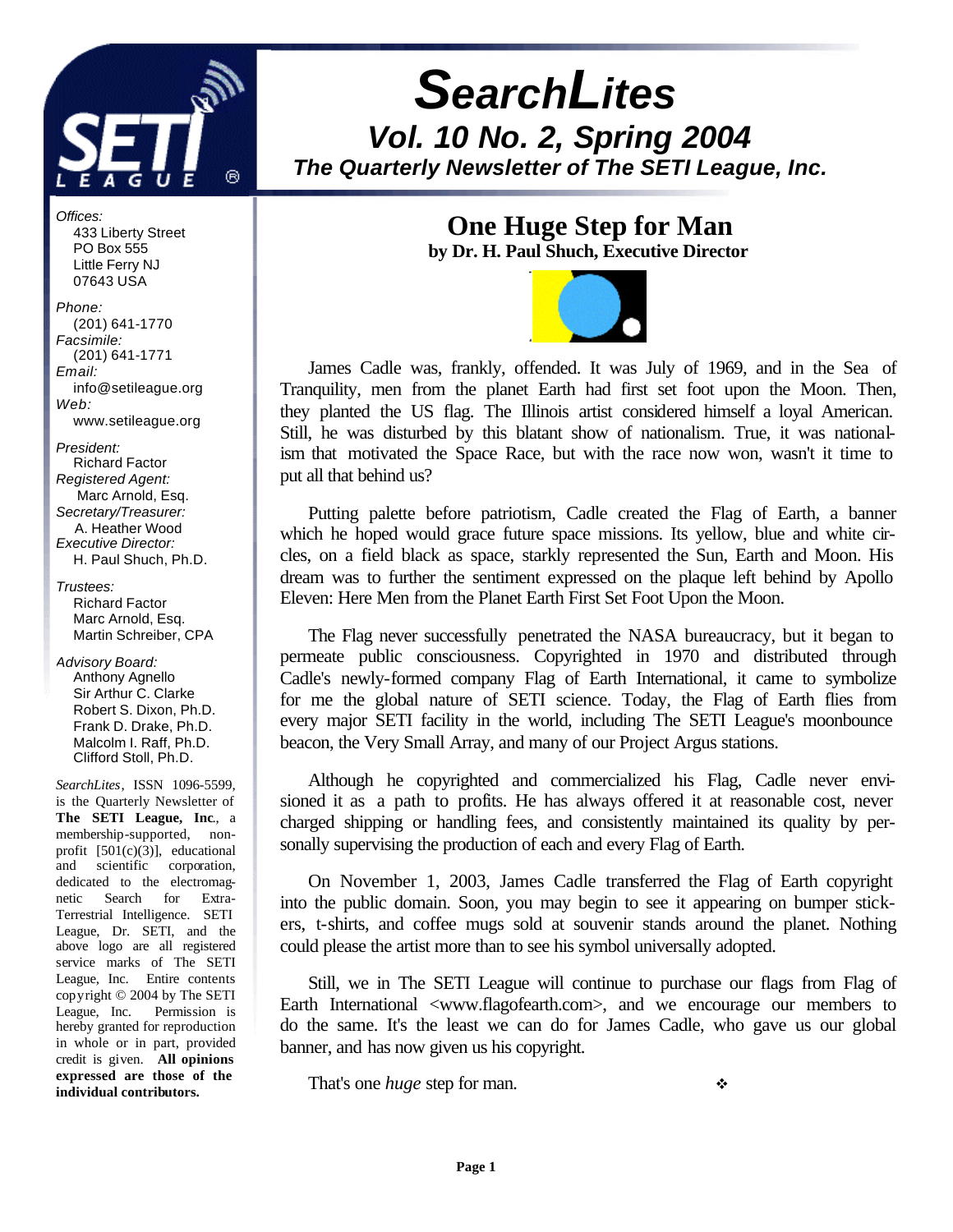

# *SearchLites Vol. 10 No. 2, Spring 2004 The Quarterly Newsletter of The SETI League, Inc.*

**One Huge Step for Man**

**by Dr. H. Paul Shuch, Executive Director**



James Cadle was, frankly, offended. It was July of 1969, and in the Sea of Tranquility, men from the planet Earth had first set foot upon the Moon. Then, they planted the US flag. The Illinois artist considered himself a loyal American. Still, he was disturbed by this blatant show of nationalism. True, it was nationalism that motivated the Space Race, but with the race now won, wasn't it time to put all that behind us?

Putting palette before patriotism, Cadle created the Flag of Earth, a banner which he hoped would grace future space missions. Its yellow, blue and white circles, on a field black as space, starkly represented the Sun, Earth and Moon. His dream was to further the sentiment expressed on the plaque left behind by Apollo Eleven: Here Men from the Planet Earth First Set Foot Upon the Moon.

The Flag never successfully penetrated the NASA bureaucracy, but it began to permeate public consciousness. Copyrighted in 1970 and distributed through Cadle's newly-formed company Flag of Earth International, it came to symbolize for me the global nature of SETI science. Today, the Flag of Earth flies from every major SETI facility in the world, including The SETI League's moonbounce beacon, the Very Small Array, and many of our Project Argus stations.

Although he copyrighted and commercialized his Flag, Cadle never envisioned it as a path to profits. He has always offered it at reasonable cost, never charged shipping or handling fees, and consistently maintained its quality by personally supervising the production of each and every Flag of Earth.

On November 1, 2003, James Cadle transferred the Flag of Earth copyright into the public domain. Soon, you may begin to see it appearing on bumper stickers, t-shirts, and coffee mugs sold at souvenir stands around the planet. Nothing could please the artist more than to see his symbol universally adopted.

Still, we in The SETI League will continue to purchase our flags from Flag of Earth International <www.flagofearth.com>, and we encourage our members to do the same. It's the least we can do for James Cadle, who gave us our global banner, and has now given us his copyright.

That's one *huge* step for man. <br>◆

*Offices:* 433 Liberty Street PO Box 555 Little Ferry NJ 07643 USA *Phone:*

 (201) 641-1770 *Facsimile:* (201) 641-1771 *Email:* info@setileague.org *Web:* www.setileague.org

*President:* Richard Factor *Registered Agent:*  Marc Arnold, Esq. *Secretary/Treasurer:* A. Heather Wood *Executive Director:* H. Paul Shuch, Ph.D.

*Trustees:* Richard Factor Marc Arnold, Esq. Martin Schreiber, CPA

*Advisory Board:* Anthony Agnello Sir Arthur C. Clarke Robert S. Dixon, Ph.D. Frank D. Drake, Ph.D. Malcolm I. Raff, Ph.D. Clifford Stoll, Ph.D.

*SearchLites*, ISSN 1096-5599, is the Quarterly Newsletter of **The SETI League, Inc**., a membership-supported, nonprofit [501(c)(3)], educational and scientific corporation, dedicated to the electromagnetic Search for Extra-Terrestrial Intelligence. SETI League, Dr. SETI, and the above logo are all registered service marks of The SETI League, Inc. Entire contents copyright © 2004 by The SETI League, Inc. Permission is hereby granted for reproduction in whole or in part, provided credit is given. **All opinions expressed are those of the individual contributors.**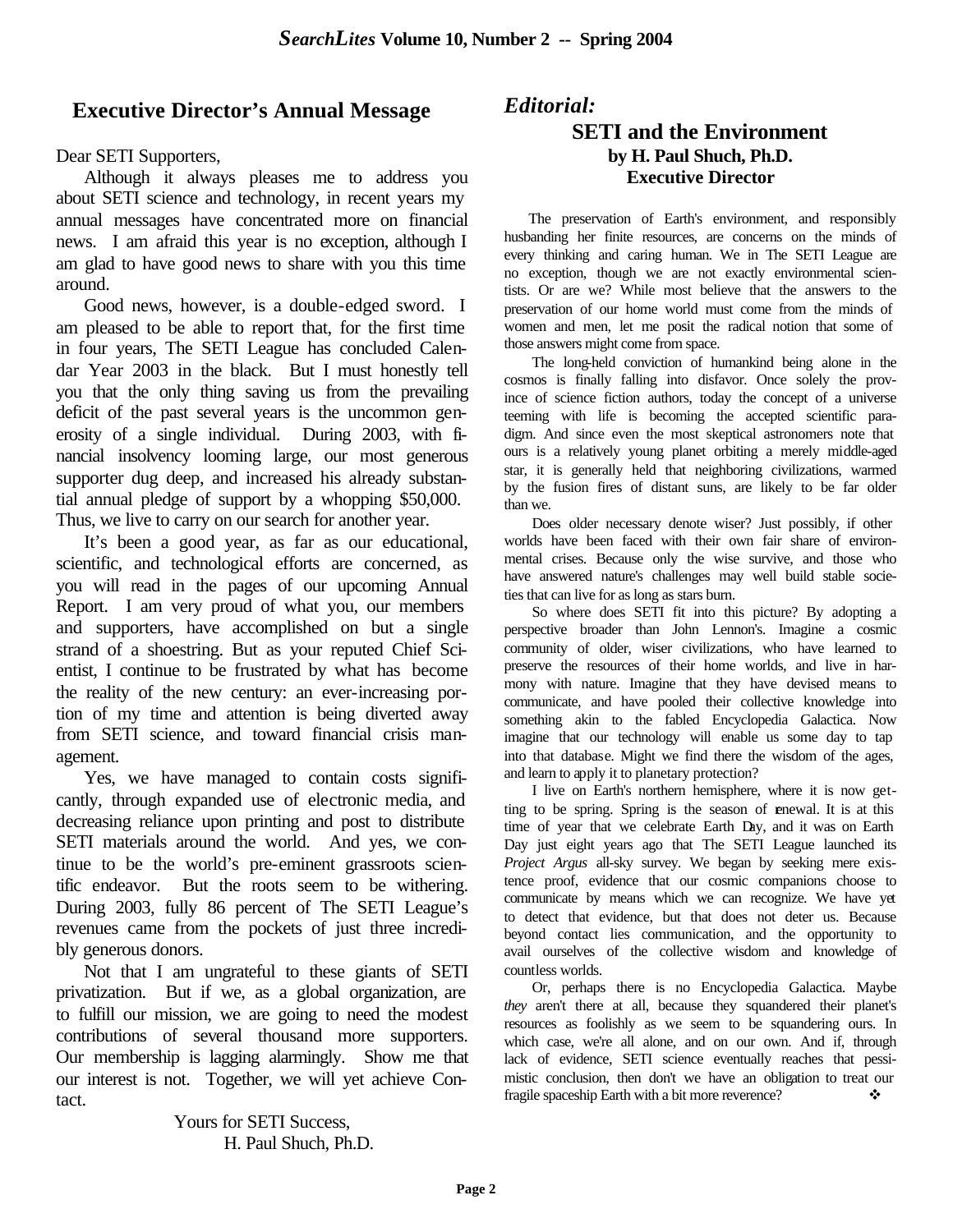### **Executive Director's Annual Message**

#### Dear SETI Supporters,

Although it always pleases me to address you about SETI science and technology, in recent years my annual messages have concentrated more on financial news. I am afraid this year is no exception, although I am glad to have good news to share with you this time around.

Good news, however, is a double-edged sword. I am pleased to be able to report that, for the first time in four years, The SETI League has concluded Calendar Year 2003 in the black. But I must honestly tell you that the only thing saving us from the prevailing deficit of the past several years is the uncommon generosity of a single individual. During 2003, with financial insolvency looming large, our most generous supporter dug deep, and increased his already substantial annual pledge of support by a whopping \$50,000. Thus, we live to carry on our search for another year.

It's been a good year, as far as our educational, scientific, and technological efforts are concerned, as you will read in the pages of our upcoming Annual Report. I am very proud of what you, our members and supporters, have accomplished on but a single strand of a shoestring. But as your reputed Chief Scientist, I continue to be frustrated by what has become the reality of the new century: an ever-increasing portion of my time and attention is being diverted away from SETI science, and toward financial crisis management.

Yes, we have managed to contain costs significantly, through expanded use of electronic media, and decreasing reliance upon printing and post to distribute SETI materials around the world. And yes, we continue to be the world's pre-eminent grassroots scientific endeavor. But the roots seem to be withering. During 2003, fully 86 percent of The SETI League's revenues came from the pockets of just three incredibly generous donors.

Not that I am ungrateful to these giants of SETI privatization. But if we, as a global organization, are to fulfill our mission, we are going to need the modest contributions of several thousand more supporters. Our membership is lagging alarmingly. Show me that our interest is not. Together, we will yet achieve Contact.

> Yours for SETI Success, H. Paul Shuch, Ph.D.

### *Editorial:* **SETI and the Environment by H. Paul Shuch, Ph.D. Executive Director**

The preservation of Earth's environment, and responsibly husbanding her finite resources, are concerns on the minds of every thinking and caring human. We in The SETI League are no exception, though we are not exactly environmental scientists. Or are we? While most believe that the answers to the preservation of our home world must come from the minds of women and men, let me posit the radical notion that some of those answers might come from space.

The long-held conviction of humankind being alone in the cosmos is finally falling into disfavor. Once solely the province of science fiction authors, today the concept of a universe teeming with life is becoming the accepted scientific paradigm. And since even the most skeptical astronomers note that ours is a relatively young planet orbiting a merely middle-aged star, it is generally held that neighboring civilizations, warmed by the fusion fires of distant suns, are likely to be far older than we.

Does older necessary denote wiser? Just possibly, if other worlds have been faced with their own fair share of environmental crises. Because only the wise survive, and those who have answered nature's challenges may well build stable societies that can live for as long as stars burn.

So where does SETI fit into this picture? By adopting a perspective broader than John Lennon's. Imagine a cosmic community of older, wiser civilizations, who have learned to preserve the resources of their home worlds, and live in harmony with nature. Imagine that they have devised means to communicate, and have pooled their collective knowledge into something akin to the fabled Encyclopedia Galactica. Now imagine that our technology will enable us some day to tap into that database. Might we find there the wisdom of the ages, and learn to apply it to planetary protection?

I live on Earth's northern hemisphere, where it is now getting to be spring. Spring is the season of enewal. It is at this time of year that we celebrate Earth Day, and it was on Earth Day just eight years ago that The SETI League launched its *Project Argus* all-sky survey. We began by seeking mere existence proof, evidence that our cosmic companions choose to communicate by means which we can recognize. We have yet to detect that evidence, but that does not deter us. Because beyond contact lies communication, and the opportunity to avail ourselves of the collective wisdom and knowledge of countless worlds.

Or, perhaps there is no Encyclopedia Galactica. Maybe *they* aren't there at all, because they squandered their planet's resources as foolishly as we seem to be squandering ours. In which case, we're all alone, and on our own. And if, through lack of evidence, SETI science eventually reaches that pessimistic conclusion, then don't we have an obligation to treat our fragile spaceship Earth with a bit more reverence?  $\bullet\bullet$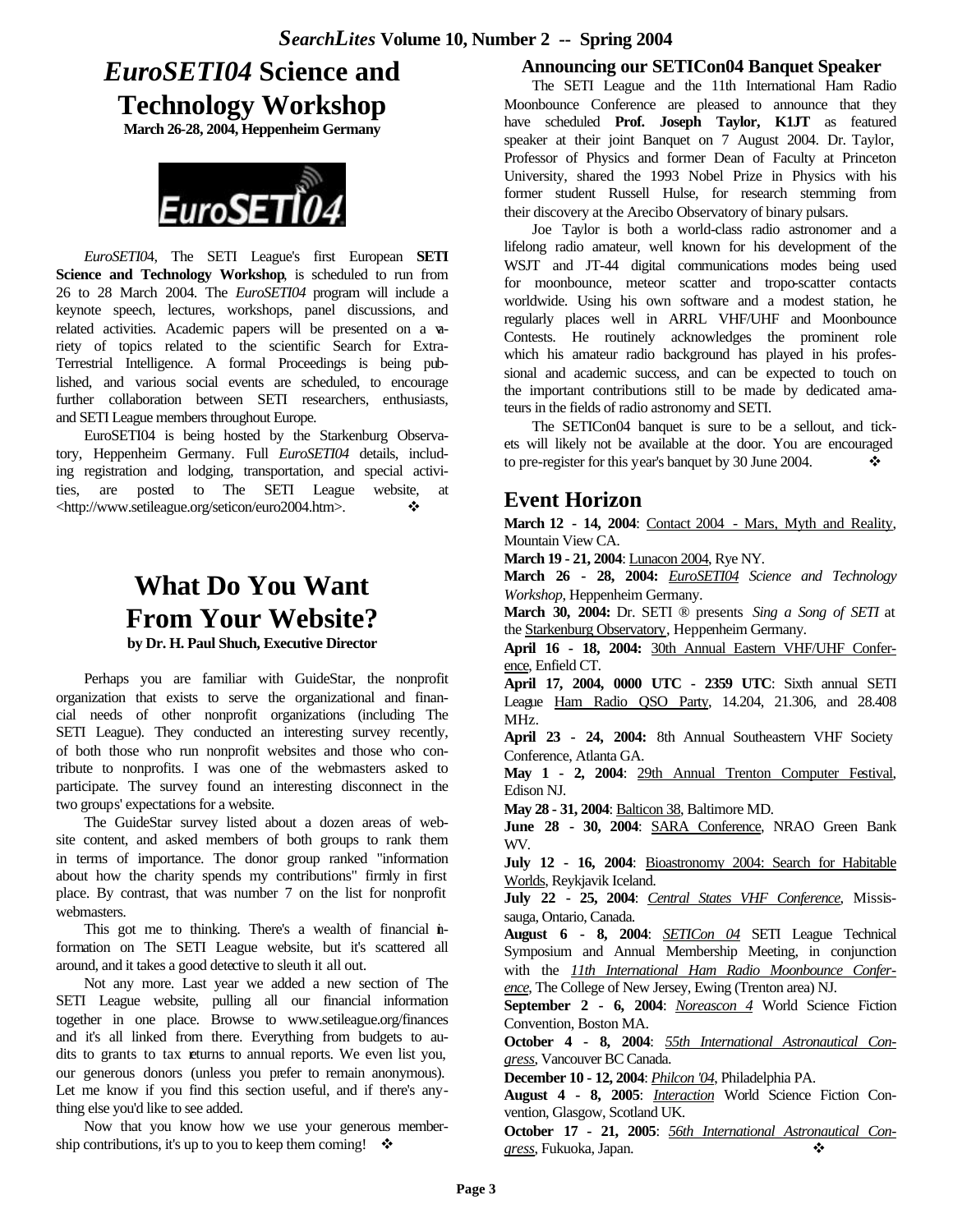## *EuroSETI04* **Science and Technology Workshop**

**March 26-28, 2004, Heppenheim Germany**



*EuroSETI0*4, The SETI League's first European **SETI Science and Technology Workshop**, is scheduled to run from 26 to 28 March 2004. The *EuroSETI04* program will include a keynote speech, lectures, workshops, panel discussions, and related activities. Academic papers will be presented on a variety of topics related to the scientific Search for Extra-Terrestrial Intelligence. A formal Proceedings is being published, and various social events are scheduled, to encourage further collaboration between SETI researchers, enthusiasts, and SETI League members throughout Europe.

EuroSETI04 is being hosted by the Starkenburg Observatory, Heppenheim Germany. Full *EuroSETI04* details, including registration and lodging, transportation, and special activities, are posted to The SETI League website, at <http://www.setileague.org/seticon/euro2004.htm>. v

## **What Do You Want From Your Website? by Dr. H. Paul Shuch, Executive Director**

Perhaps you are familiar with GuideStar, the nonprofit organization that exists to serve the organizational and financial needs of other nonprofit organizations (including The SETI League). They conducted an interesting survey recently, of both those who run nonprofit websites and those who contribute to nonprofits. I was one of the webmasters asked to participate. The survey found an interesting disconnect in the two groups' expectations for a website.

The GuideStar survey listed about a dozen areas of website content, and asked members of both groups to rank them in terms of importance. The donor group ranked "information about how the charity spends my contributions" firmly in first place. By contrast, that was number 7 on the list for nonprofit webmasters.

This got me to thinking. There's a wealth of financial information on The SETI League website, but it's scattered all around, and it takes a good detective to sleuth it all out.

Not any more. Last year we added a new section of The SETI League website, pulling all our financial information together in one place. Browse to www.setileague.org/finances and it's all linked from there. Everything from budgets to audits to grants to tax returns to annual reports. We even list you, our generous donors (unless you prefer to remain anonymous). Let me know if you find this section useful, and if there's anything else you'd like to see added.

Now that you know how we use your generous membership contributions, it's up to you to keep them coming!  $\cdot \bullet$ 

#### **Announcing our SETICon04 Banquet Speaker**

The SETI League and the 11th International Ham Radio Moonbounce Conference are pleased to announce that they have scheduled **Prof. Joseph Taylor, K1JT** as featured speaker at their joint Banquet on 7 August 2004. Dr. Taylor, Professor of Physics and former Dean of Faculty at Princeton University, shared the 1993 Nobel Prize in Physics with his former student Russell Hulse, for research stemming from their discovery at the Arecibo Observatory of binary pulsars.

Joe Taylor is both a world-class radio astronomer and a lifelong radio amateur, well known for his development of the WSJT and JT-44 digital communications modes being used for moonbounce, meteor scatter and tropo-scatter contacts worldwide. Using his own software and a modest station, he regularly places well in ARRL VHF/UHF and Moonbounce Contests. He routinely acknowledges the prominent role which his amateur radio background has played in his professional and academic success, and can be expected to touch on the important contributions still to be made by dedicated amateurs in the fields of radio astronomy and SETI.

The SETICon04 banquet is sure to be a sellout, and tickets will likely not be available at the door. You are encouraged to pre-register for this year's banquet by 30 June 2004.  $\bullet\bullet$ 

### **Event Horizon**

**March 12 - 14, 2004**: Contact 2004 - Mars, Myth and Reality, Mountain View CA.

**March 19 - 21, 2004**: Lunacon 2004, Rye NY.

**March 26 - 28, 2004:** *EuroSETI04 Science and Technology Workshop*, Heppenheim Germany.

**March 30, 2004:** Dr. SETI ® presents *Sing a Song of SETI* at the Starkenburg Observatory, Heppenheim Germany.

**April 16 - 18, 2004:** 30th Annual Eastern VHF/UHF Conference, Enfield CT.

**April 17, 2004, 0000 UTC - 2359 UTC**: Sixth annual SETI League Ham Radio QSO Party, 14.204, 21.306, and 28.408 MHz.

**April 23 - 24, 2004:** 8th Annual Southeastern VHF Society Conference, Atlanta GA.

**May 1 - 2, 2004**: 29th Annual Trenton Computer Festival, Edison NJ.

**May 28 - 31, 2004**: Balticon 38, Baltimore MD.

**June 28 - 30, 2004**: SARA Conference, NRAO Green Bank WV.

**July 12 - 16, 2004**: Bioastronomy 2004: Search for Habitable Worlds, Reykjavik Iceland.

**July 22 - 25, 2004**: *Central States VHF Conference*, Mississauga, Ontario, Canada.

**August 6 - 8, 2004**: *SETICon 04* SETI League Technical Symposium and Annual Membership Meeting, in conjunction with the *11th International Ham Radio Moonbounce Conference*, The College of New Jersey, Ewing (Trenton area) NJ.

**September 2 - 6, 2004**: *Noreascon 4* World Science Fiction Convention, Boston MA.

**October 4 - 8, 2004**: *55th International Astronautical Congress*, Vancouver BC Canada.

**December 10 - 12, 2004**: *Philcon '04*, Philadelphia PA.

**August 4 - 8, 2005**: *Interaction* World Science Fiction Convention, Glasgow, Scotland UK.

**October 17 - 21, 2005**: *56th International Astronautical Congress*, Fukuoka, Japan. v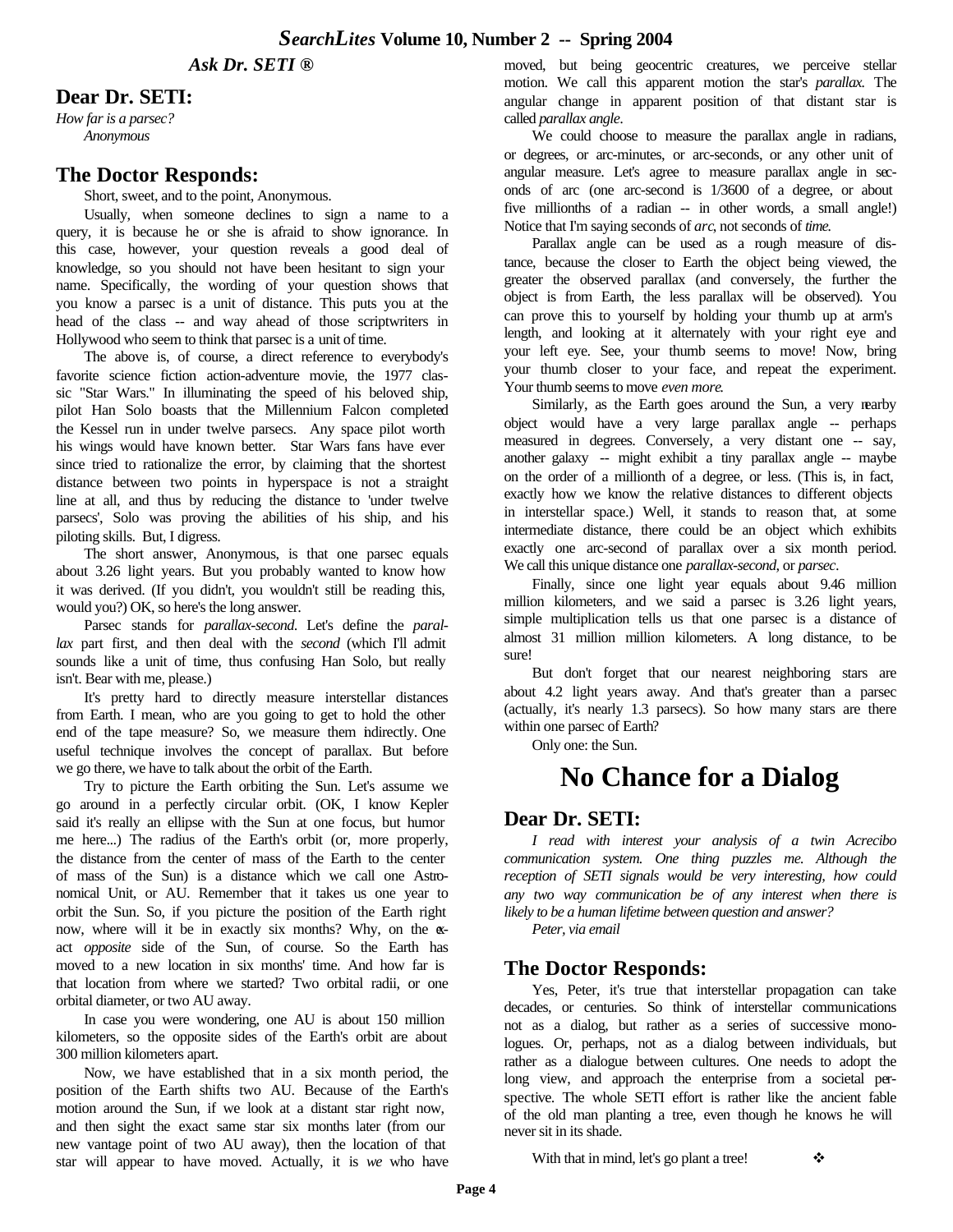*Ask Dr. SETI ®*

#### **Dear Dr. SETI:**

*How far is a parsec? Anonymous* 

#### **The Doctor Responds:**

Short, sweet, and to the point, Anonymous.

Usually, when someone declines to sign a name to a query, it is because he or she is afraid to show ignorance. In this case, however, your question reveals a good deal of knowledge, so you should not have been hesitant to sign your name. Specifically, the wording of your question shows that you know a parsec is a unit of distance. This puts you at the head of the class -- and way ahead of those scriptwriters in Hollywood who seem to think that parsec is a unit of time.

The above is, of course, a direct reference to everybody's favorite science fiction action-adventure movie, the 1977 classic "Star Wars." In illuminating the speed of his beloved ship, pilot Han Solo boasts that the Millennium Falcon completed the Kessel run in under twelve parsecs. Any space pilot worth his wings would have known better. Star Wars fans have ever since tried to rationalize the error, by claiming that the shortest distance between two points in hyperspace is not a straight line at all, and thus by reducing the distance to 'under twelve parsecs', Solo was proving the abilities of his ship, and his piloting skills. But, I digress.

The short answer, Anonymous, is that one parsec equals about 3.26 light years. But you probably wanted to know how it was derived. (If you didn't, you wouldn't still be reading this, would you?) OK, so here's the long answer.

Parsec stands for *parallax-second*. Let's define the *parallax* part first, and then deal with the *second* (which I'll admit sounds like a unit of time, thus confusing Han Solo, but really isn't. Bear with me, please.)

It's pretty hard to directly measure interstellar distances from Earth. I mean, who are you going to get to hold the other end of the tape measure? So, we measure them indirectly. One useful technique involves the concept of parallax. But before we go there, we have to talk about the orbit of the Earth.

Try to picture the Earth orbiting the Sun. Let's assume we go around in a perfectly circular orbit. (OK, I know Kepler said it's really an ellipse with the Sun at one focus, but humor me here...) The radius of the Earth's orbit (or, more properly, the distance from the center of mass of the Earth to the center of mass of the Sun) is a distance which we call one Astronomical Unit, or AU. Remember that it takes us one year to orbit the Sun. So, if you picture the position of the Earth right now, where will it be in exactly six months? Why, on the  $\alpha$ act *opposite* side of the Sun, of course. So the Earth has moved to a new location in six months' time. And how far is that location from where we started? Two orbital radii, or one orbital diameter, or two AU away.

In case you were wondering, one AU is about 150 million kilometers, so the opposite sides of the Earth's orbit are about 300 million kilometers apart.

Now, we have established that in a six month period, the position of the Earth shifts two AU. Because of the Earth's motion around the Sun, if we look at a distant star right now, and then sight the exact same star six months later (from our new vantage point of two AU away), then the location of that star will appear to have moved. Actually, it is *we* who have moved, but being geocentric creatures, we perceive stellar motion. We call this apparent motion the star's *parallax.* The angular change in apparent position of that distant star is called *parallax angle*.

We could choose to measure the parallax angle in radians, or degrees, or arc-minutes, or arc-seconds, or any other unit of angular measure. Let's agree to measure parallax angle in seconds of arc (one arc-second is 1/3600 of a degree, or about five millionths of a radian -- in other words, a small angle!) Notice that I'm saying seconds of *arc*, not seconds of *time.*

Parallax angle can be used as a rough measure of distance, because the closer to Earth the object being viewed, the greater the observed parallax (and conversely, the further the object is from Earth, the less parallax will be observed). You can prove this to yourself by holding your thumb up at arm's length, and looking at it alternately with your right eye and your left eye. See, your thumb seems to move! Now, bring your thumb closer to your face, and repeat the experiment. Your thumb seems to move *even more*.

Similarly, as the Earth goes around the Sun, a very nearby object would have a very large parallax angle -- perhaps measured in degrees. Conversely, a very distant one -- say, another galaxy -- might exhibit a tiny parallax angle -- maybe on the order of a millionth of a degree, or less. (This is, in fact, exactly how we know the relative distances to different objects in interstellar space.) Well, it stands to reason that, at some intermediate distance, there could be an object which exhibits exactly one arc-second of parallax over a six month period. We call this unique distance one *parallax-second*, or *parsec*.

Finally, since one light year equals about 9.46 million million kilometers, and we said a parsec is 3.26 light years, simple multiplication tells us that one parsec is a distance of almost 31 million million kilometers. A long distance, to be sure!

But don't forget that our nearest neighboring stars are about 4.2 light years away. And that's greater than a parsec (actually, it's nearly 1.3 parsecs). So how many stars are there within one parsec of Earth?

Only one: the Sun.

## **No Chance for a Dialog**

#### **Dear Dr. SETI:**

*I read with interest your analysis of a twin Acrecibo communication system. One thing puzzles me. Although the reception of SETI signals would be very interesting, how could any two way communication be of any interest when there is likely to be a human lifetime between question and answer?* 

*Peter, via email*

#### **The Doctor Responds:**

Yes, Peter, it's true that interstellar propagation can take decades, or centuries. So think of interstellar communications not as a dialog, but rather as a series of successive monologues. Or, perhaps, not as a dialog between individuals, but rather as a dialogue between cultures. One needs to adopt the long view, and approach the enterprise from a societal perspective. The whole SETI effort is rather like the ancient fable of the old man planting a tree, even though he knows he will never sit in its shade.

With that in mind, let's go plant a tree!  $\bullet$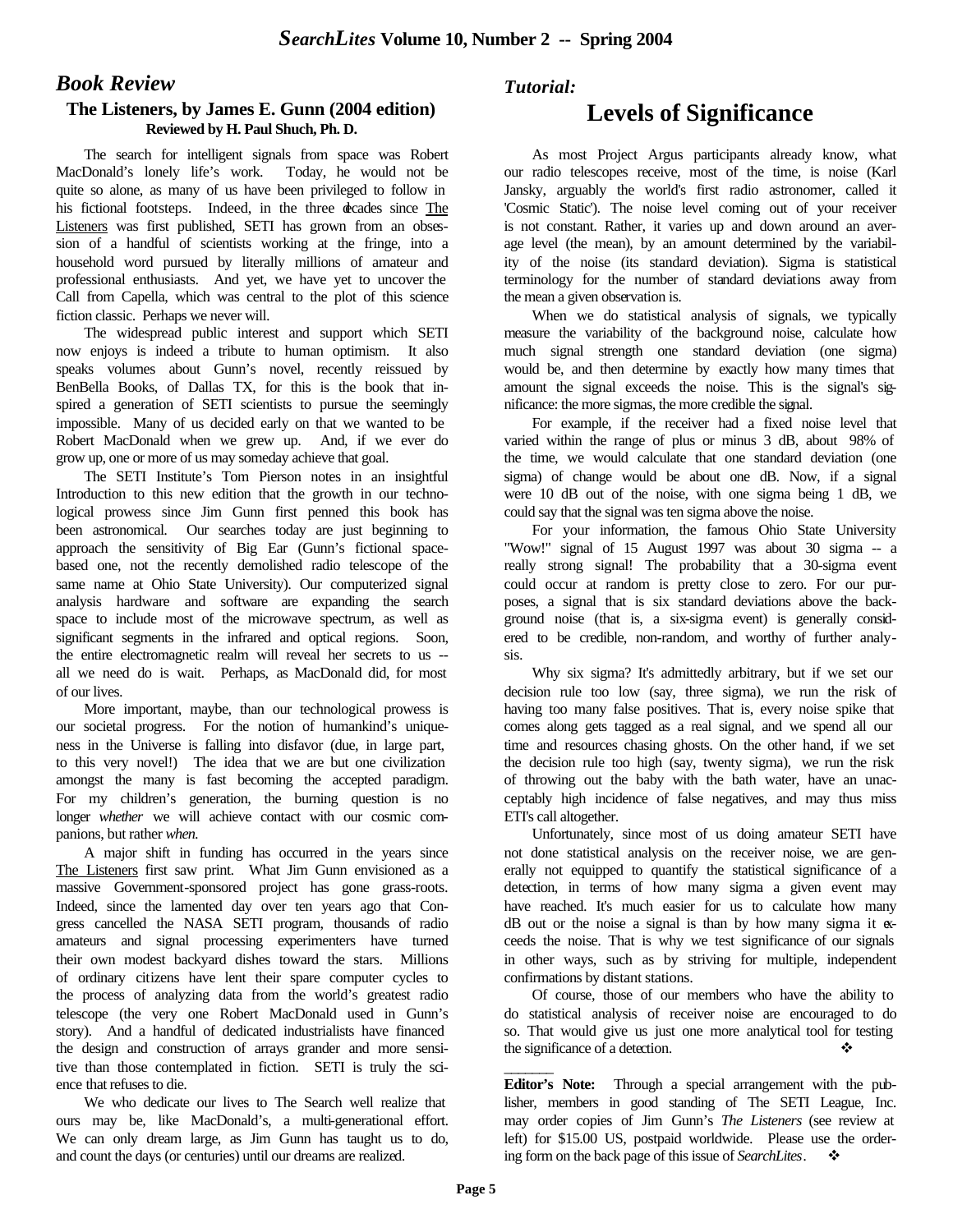### *Book Review*

#### **The Listeners, by James E. Gunn (2004 edition) Reviewed by H. Paul Shuch, Ph. D.**

The search for intelligent signals from space was Robert MacDonald's lonely life's work. Today, he would not be quite so alone, as many of us have been privileged to follow in his fictional footsteps. Indeed, in the three decades since The Listeners was first published, SETI has grown from an obsession of a handful of scientists working at the fringe, into a household word pursued by literally millions of amateur and professional enthusiasts. And yet, we have yet to uncover the Call from Capella, which was central to the plot of this science fiction classic. Perhaps we never will.

The widespread public interest and support which SETI now enjoys is indeed a tribute to human optimism. It also speaks volumes about Gunn's novel, recently reissued by BenBella Books, of Dallas TX, for this is the book that inspired a generation of SETI scientists to pursue the seemingly impossible. Many of us decided early on that we wanted to be Robert MacDonald when we grew up. And, if we ever do grow up, one or more of us may someday achieve that goal.

The SETI Institute's Tom Pierson notes in an insightful Introduction to this new edition that the growth in our technological prowess since Jim Gunn first penned this book has been astronomical. Our searches today are just beginning to approach the sensitivity of Big Ear (Gunn's fictional spacebased one, not the recently demolished radio telescope of the same name at Ohio State University). Our computerized signal analysis hardware and software are expanding the search space to include most of the microwave spectrum, as well as significant segments in the infrared and optical regions. Soon, the entire electromagnetic realm will reveal her secrets to us - all we need do is wait. Perhaps, as MacDonald did, for most of our lives.

More important, maybe, than our technological prowess is our societal progress. For the notion of humankind's uniqueness in the Universe is falling into disfavor (due, in large part, to this very novel!) The idea that we are but one civilization amongst the many is fast becoming the accepted paradigm. For my children's generation, the burning question is no longer *whether* we will achieve contact with our cosmic companions, but rather *when*.

A major shift in funding has occurred in the years since The Listeners first saw print. What Jim Gunn envisioned as a massive Government-sponsored project has gone grass-roots. Indeed, since the lamented day over ten years ago that Congress cancelled the NASA SETI program, thousands of radio amateurs and signal processing experimenters have turned their own modest backyard dishes toward the stars. Millions of ordinary citizens have lent their spare computer cycles to the process of analyzing data from the world's greatest radio telescope (the very one Robert MacDonald used in Gunn's story). And a handful of dedicated industrialists have financed the design and construction of arrays grander and more sensitive than those contemplated in fiction. SETI is truly the science that refuses to die.

We who dedicate our lives to The Search well realize that ours may be, like MacDonald's, a multi-generational effort. We can only dream large, as Jim Gunn has taught us to do, and count the days (or centuries) until our dreams are realized.

#### *Tutorial:*

## **Levels of Significance**

As most Project Argus participants already know, what our radio telescopes receive, most of the time, is noise (Karl Jansky, arguably the world's first radio astronomer, called it 'Cosmic Static'). The noise level coming out of your receiver is not constant. Rather, it varies up and down around an average level (the mean), by an amount determined by the variability of the noise (its standard deviation). Sigma is statistical terminology for the number of standard deviations away from the mean a given observation is.

When we do statistical analysis of signals, we typically measure the variability of the background noise, calculate how much signal strength one standard deviation (one sigma) would be, and then determine by exactly how many times that amount the signal exceeds the noise. This is the signal's significance: the more sigmas, the more credible the signal.

For example, if the receiver had a fixed noise level that varied within the range of plus or minus 3 dB, about 98% of the time, we would calculate that one standard deviation (one sigma) of change would be about one dB. Now, if a signal were 10 dB out of the noise, with one sigma being 1 dB, we could say that the signal was ten sigma above the noise.

For your information, the famous Ohio State University "Wow!" signal of 15 August 1997 was about 30 sigma -- a really strong signal! The probability that a 30-sigma event could occur at random is pretty close to zero. For our purposes, a signal that is six standard deviations above the background noise (that is, a six-sigma event) is generally considered to be credible, non-random, and worthy of further analysis.

Why six sigma? It's admittedly arbitrary, but if we set our decision rule too low (say, three sigma), we run the risk of having too many false positives. That is, every noise spike that comes along gets tagged as a real signal, and we spend all our time and resources chasing ghosts. On the other hand, if we set the decision rule too high (say, twenty sigma), we run the risk of throwing out the baby with the bath water, have an unacceptably high incidence of false negatives, and may thus miss ETI's call altogether.

Unfortunately, since most of us doing amateur SETI have not done statistical analysis on the receiver noise, we are generally not equipped to quantify the statistical significance of a detection, in terms of how many sigma a given event may have reached. It's much easier for us to calculate how many  $dB$  out or the noise a signal is than by how many sigma it  $\alpha$ ceeds the noise. That is why we test significance of our signals in other ways, such as by striving for multiple, independent confirmations by distant stations.

Of course, those of our members who have the ability to do statistical analysis of receiver noise are encouraged to do so. That would give us just one more analytical tool for testing the significance of a detection.

**Editor's Note:** Through a special arrangement with the publisher, members in good standing of The SETI League, Inc. may order copies of Jim Gunn's *The Listeners* (see review at left) for \$15.00 US, postpaid worldwide. Please use the ordering form on the back page of this issue of *SearchLites*. v

 $\overline{\phantom{a}}$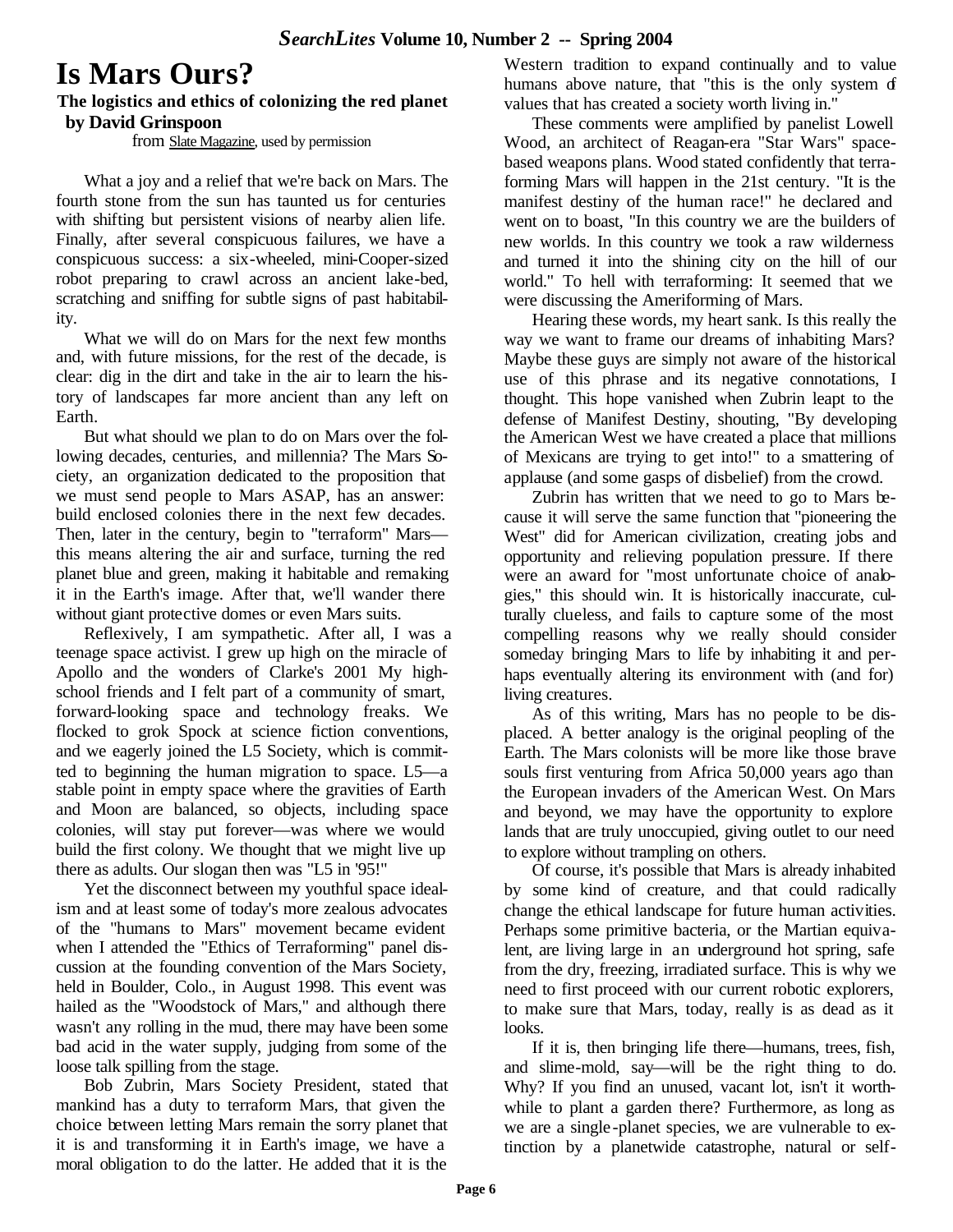## **Is Mars Ours?**

#### **The logistics and ethics of colonizing the red planet by David Grinspoon**

from Slate Magazine, used by permission

What a joy and a relief that we're back on Mars. The fourth stone from the sun has taunted us for centuries with shifting but persistent visions of nearby alien life. Finally, after several conspicuous failures, we have a conspicuous success: a six-wheeled, mini-Cooper-sized robot preparing to crawl across an ancient lake-bed, scratching and sniffing for subtle signs of past habitability.

What we will do on Mars for the next few months and, with future missions, for the rest of the decade, is clear: dig in the dirt and take in the air to learn the history of landscapes far more ancient than any left on Earth.

But what should we plan to do on Mars over the following decades, centuries, and millennia? The Mars Society, an organization dedicated to the proposition that we must send people to Mars ASAP, has an answer: build enclosed colonies there in the next few decades. Then, later in the century, begin to "terraform" Mars this means altering the air and surface, turning the red planet blue and green, making it habitable and remaking it in the Earth's image. After that, we'll wander there without giant protective domes or even Mars suits.

Reflexively, I am sympathetic. After all, I was a teenage space activist. I grew up high on the miracle of Apollo and the wonders of Clarke's 2001 My highschool friends and I felt part of a community of smart, forward-looking space and technology freaks. We flocked to grok Spock at science fiction conventions, and we eagerly joined the L5 Society, which is committed to beginning the human migration to space. L5—a stable point in empty space where the gravities of Earth and Moon are balanced, so objects, including space colonies, will stay put forever—was where we would build the first colony. We thought that we might live up there as adults. Our slogan then was "L5 in '95!"

Yet the disconnect between my youthful space idealism and at least some of today's more zealous advocates of the "humans to Mars" movement became evident when I attended the "Ethics of Terraforming" panel discussion at the founding convention of the Mars Society, held in Boulder, Colo., in August 1998. This event was hailed as the "Woodstock of Mars," and although there wasn't any rolling in the mud, there may have been some bad acid in the water supply, judging from some of the loose talk spilling from the stage.

Bob Zubrin, Mars Society President, stated that mankind has a duty to terraform Mars, that given the choice between letting Mars remain the sorry planet that it is and transforming it in Earth's image, we have a moral obligation to do the latter. He added that it is the

Western tradition to expand continually and to value humans above nature, that "this is the only system  $d$ values that has created a society worth living in."

These comments were amplified by panelist Lowell Wood, an architect of Reagan-era "Star Wars" spacebased weapons plans. Wood stated confidently that terraforming Mars will happen in the 21st century. "It is the manifest destiny of the human race!" he declared and went on to boast, "In this country we are the builders of new worlds. In this country we took a raw wilderness and turned it into the shining city on the hill of our world." To hell with terraforming: It seemed that we were discussing the Ameriforming of Mars.

Hearing these words, my heart sank. Is this really the way we want to frame our dreams of inhabiting Mars? Maybe these guys are simply not aware of the historical use of this phrase and its negative connotations, I thought. This hope vanished when Zubrin leapt to the defense of Manifest Destiny, shouting, "By developing the American West we have created a place that millions of Mexicans are trying to get into!" to a smattering of applause (and some gasps of disbelief) from the crowd.

Zubrin has written that we need to go to Mars because it will serve the same function that "pioneering the West" did for American civilization, creating jobs and opportunity and relieving population pressure. If there were an award for "most unfortunate choice of analogies," this should win. It is historically inaccurate, culturally clueless, and fails to capture some of the most compelling reasons why we really should consider someday bringing Mars to life by inhabiting it and perhaps eventually altering its environment with (and for) living creatures.

As of this writing, Mars has no people to be displaced. A better analogy is the original peopling of the Earth. The Mars colonists will be more like those brave souls first venturing from Africa 50,000 years ago than the European invaders of the American West. On Mars and beyond, we may have the opportunity to explore lands that are truly unoccupied, giving outlet to our need to explore without trampling on others.

Of course, it's possible that Mars is already inhabited by some kind of creature, and that could radically change the ethical landscape for future human activities. Perhaps some primitive bacteria, or the Martian equivalent, are living large in an underground hot spring, safe from the dry, freezing, irradiated surface. This is why we need to first proceed with our current robotic explorers, to make sure that Mars, today, really is as dead as it looks.

If it is, then bringing life there—humans, trees, fish, and slime-mold, say—will be the right thing to do. Why? If you find an unused, vacant lot, isn't it worthwhile to plant a garden there? Furthermore, as long as we are a single -planet species, we are vulnerable to extinction by a planetwide catastrophe, natural or self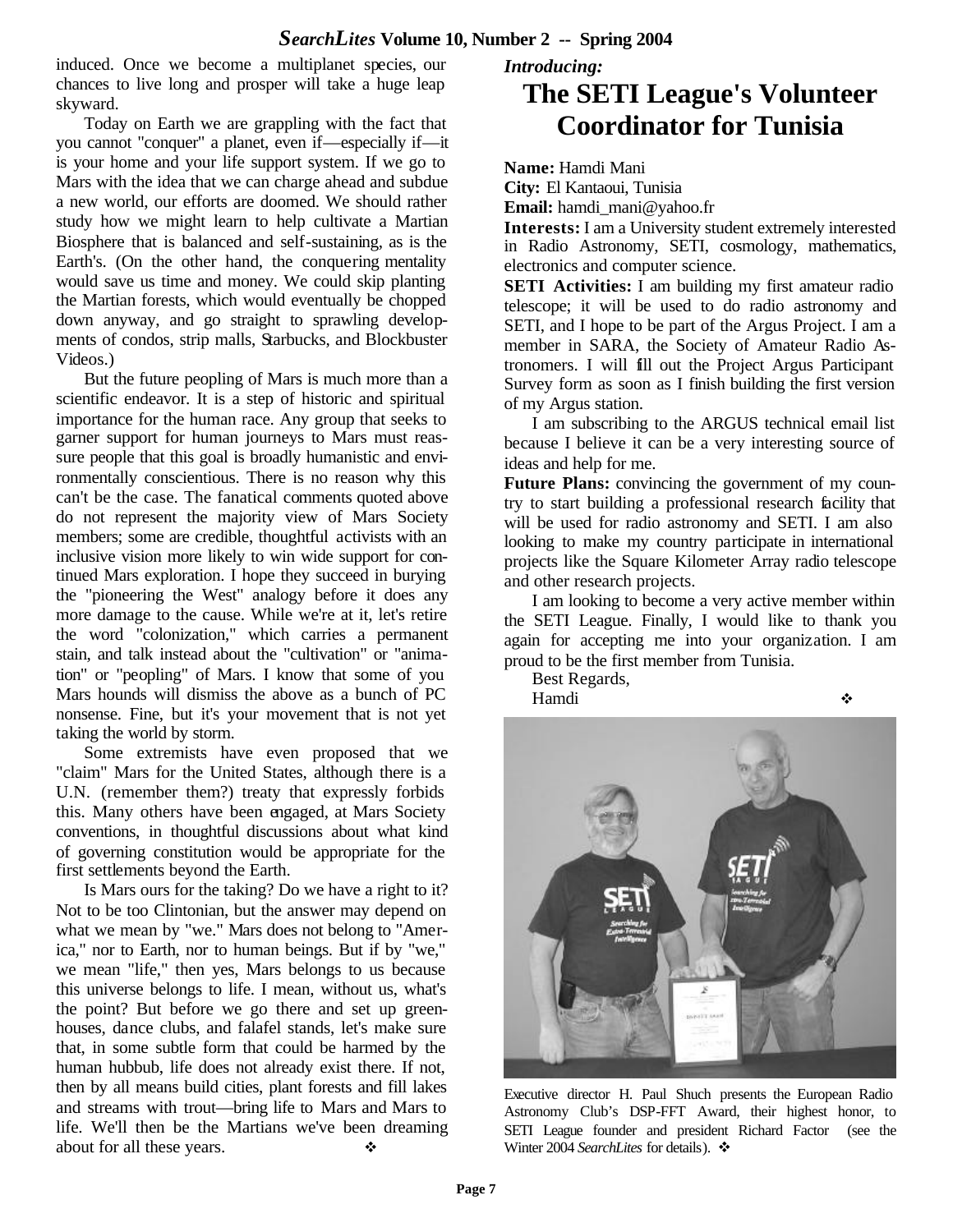induced. Once we become a multiplanet species, our chances to live long and prosper will take a huge leap skyward.

Today on Earth we are grappling with the fact that you cannot "conquer" a planet, even if—especially if—it is your home and your life support system. If we go to Mars with the idea that we can charge ahead and subdue a new world, our efforts are doomed. We should rather study how we might learn to help cultivate a Martian Biosphere that is balanced and self-sustaining, as is the Earth's. (On the other hand, the conquering mentality would save us time and money. We could skip planting the Martian forests, which would eventually be chopped down anyway, and go straight to sprawling developments of condos, strip malls, Starbucks, and Blockbuster Videos.)

But the future peopling of Mars is much more than a scientific endeavor. It is a step of historic and spiritual importance for the human race. Any group that seeks to garner support for human journeys to Mars must reassure people that this goal is broadly humanistic and environmentally conscientious. There is no reason why this can't be the case. The fanatical comments quoted above do not represent the majority view of Mars Society members; some are credible, thoughtful activists with an inclusive vision more likely to win wide support for continued Mars exploration. I hope they succeed in burying the "pioneering the West" analogy before it does any more damage to the cause. While we're at it, let's retire the word "colonization," which carries a permanent stain, and talk instead about the "cultivation" or "animation" or "peopling" of Mars. I know that some of you Mars hounds will dismiss the above as a bunch of PC nonsense. Fine, but it's your movement that is not yet taking the world by storm.

Some extremists have even proposed that we "claim" Mars for the United States, although there is a U.N. (remember them?) treaty that expressly forbids this. Many others have been engaged, at Mars Society conventions, in thoughtful discussions about what kind of governing constitution would be appropriate for the first settlements beyond the Earth.

Is Mars ours for the taking? Do we have a right to it? Not to be too Clintonian, but the answer may depend on what we mean by "we." Mars does not belong to "America," nor to Earth, nor to human beings. But if by "we," we mean "life," then yes, Mars belongs to us because this universe belongs to life. I mean, without us, what's the point? But before we go there and set up greenhouses, dance clubs, and falafel stands, let's make sure that, in some subtle form that could be harmed by the human hubbub, life does not already exist there. If not, then by all means build cities, plant forests and fill lakes and streams with trout—bring life to Mars and Mars to life. We'll then be the Martians we've been dreaming about for all these years.

## *Introducing:* **The SETI League's Volunteer Coordinator for Tunisia**

**Name:** Hamdi Mani

**City:** El Kantaoui, Tunisia

Email: hamdi\_mani@yahoo.fr

**Interests:** I am a University student extremely interested in Radio Astronomy, SETI, cosmology, mathematics, electronics and computer science.

**SETI Activities:** I am building my first amateur radio telescope; it will be used to do radio astronomy and SETI, and I hope to be part of the Argus Project. I am a member in SARA, the Society of Amateur Radio Astronomers. I will fill out the Project Argus Participant Survey form as soon as I finish building the first version of my Argus station.

I am subscribing to the ARGUS technical email list because I believe it can be a very interesting source of ideas and help for me.

**Future Plans:** convincing the government of my country to start building a professional research facility that will be used for radio astronomy and SETI. I am also looking to make my country participate in international projects like the Square Kilometer Array radio telescope and other research projects.

I am looking to become a very active member within the SETI League. Finally, I would like to thank you again for accepting me into your organization. I am proud to be the first member from Tunisia.

Best Regards,



Executive director H. Paul Shuch presents the European Radio Astronomy Club's DSP-FFT Award, their highest honor, to SETI League founder and president Richard Factor (see the Winter 2004 *SearchLites* for details). ❖